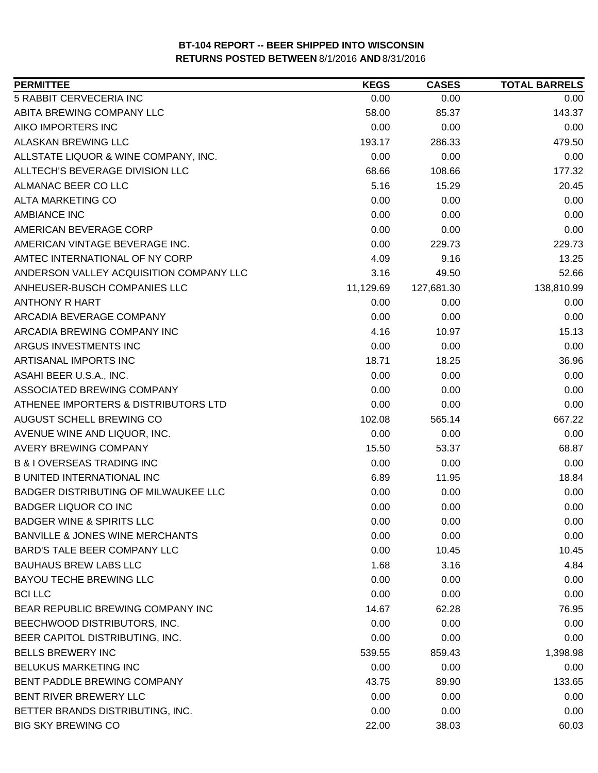| <b>PERMITTEE</b>                           | <b>KEGS</b> | <b>CASES</b> | <b>TOTAL BARRELS</b> |
|--------------------------------------------|-------------|--------------|----------------------|
| 5 RABBIT CERVECERIA INC                    | 0.00        | 0.00         | 0.00                 |
| ABITA BREWING COMPANY LLC                  | 58.00       | 85.37        | 143.37               |
| AIKO IMPORTERS INC                         | 0.00        | 0.00         | 0.00                 |
| <b>ALASKAN BREWING LLC</b>                 | 193.17      | 286.33       | 479.50               |
| ALLSTATE LIQUOR & WINE COMPANY, INC.       | 0.00        | 0.00         | 0.00                 |
| ALLTECH'S BEVERAGE DIVISION LLC            | 68.66       | 108.66       | 177.32               |
| ALMANAC BEER CO LLC                        | 5.16        | 15.29        | 20.45                |
| <b>ALTA MARKETING CO</b>                   | 0.00        | 0.00         | 0.00                 |
| <b>AMBIANCE INC</b>                        | 0.00        | 0.00         | 0.00                 |
| AMERICAN BEVERAGE CORP                     | 0.00        | 0.00         | 0.00                 |
| AMERICAN VINTAGE BEVERAGE INC.             | 0.00        | 229.73       | 229.73               |
| AMTEC INTERNATIONAL OF NY CORP             | 4.09        | 9.16         | 13.25                |
| ANDERSON VALLEY ACQUISITION COMPANY LLC    | 3.16        | 49.50        | 52.66                |
| ANHEUSER-BUSCH COMPANIES LLC               | 11,129.69   | 127,681.30   | 138,810.99           |
| <b>ANTHONY R HART</b>                      | 0.00        | 0.00         | 0.00                 |
| ARCADIA BEVERAGE COMPANY                   | 0.00        | 0.00         | 0.00                 |
| ARCADIA BREWING COMPANY INC                | 4.16        | 10.97        | 15.13                |
| ARGUS INVESTMENTS INC                      | 0.00        | 0.00         | 0.00                 |
| ARTISANAL IMPORTS INC                      | 18.71       | 18.25        | 36.96                |
| ASAHI BEER U.S.A., INC.                    | 0.00        | 0.00         | 0.00                 |
| ASSOCIATED BREWING COMPANY                 | 0.00        | 0.00         | 0.00                 |
| ATHENEE IMPORTERS & DISTRIBUTORS LTD       | 0.00        | 0.00         | 0.00                 |
| AUGUST SCHELL BREWING CO                   | 102.08      | 565.14       | 667.22               |
| AVENUE WINE AND LIQUOR, INC.               | 0.00        | 0.00         | 0.00                 |
| AVERY BREWING COMPANY                      | 15.50       | 53.37        | 68.87                |
| <b>B &amp; I OVERSEAS TRADING INC</b>      | 0.00        | 0.00         | 0.00                 |
| <b>B UNITED INTERNATIONAL INC</b>          | 6.89        | 11.95        | 18.84                |
| BADGER DISTRIBUTING OF MILWAUKEE LLC       | 0.00        | 0.00         | 0.00                 |
| <b>BADGER LIQUOR CO INC</b>                | 0.00        | 0.00         | 0.00                 |
| <b>BADGER WINE &amp; SPIRITS LLC</b>       | 0.00        | 0.00         | 0.00                 |
| <b>BANVILLE &amp; JONES WINE MERCHANTS</b> | 0.00        | 0.00         | 0.00                 |
| BARD'S TALE BEER COMPANY LLC               | 0.00        | 10.45        | 10.45                |
| <b>BAUHAUS BREW LABS LLC</b>               | 1.68        | 3.16         | 4.84                 |
| <b>BAYOU TECHE BREWING LLC</b>             | 0.00        | 0.00         | 0.00                 |
| <b>BCI LLC</b>                             | 0.00        | 0.00         | 0.00                 |
| BEAR REPUBLIC BREWING COMPANY INC          | 14.67       | 62.28        | 76.95                |
| BEECHWOOD DISTRIBUTORS, INC.               | 0.00        | 0.00         | 0.00                 |
| BEER CAPITOL DISTRIBUTING, INC.            | 0.00        | 0.00         | 0.00                 |
| <b>BELLS BREWERY INC</b>                   | 539.55      | 859.43       | 1,398.98             |
| <b>BELUKUS MARKETING INC</b>               | 0.00        | 0.00         | 0.00                 |
| BENT PADDLE BREWING COMPANY                | 43.75       | 89.90        | 133.65               |
| BENT RIVER BREWERY LLC                     | 0.00        | 0.00         | 0.00                 |
| BETTER BRANDS DISTRIBUTING, INC.           | 0.00        | 0.00         | 0.00                 |
| <b>BIG SKY BREWING CO</b>                  | 22.00       | 38.03        | 60.03                |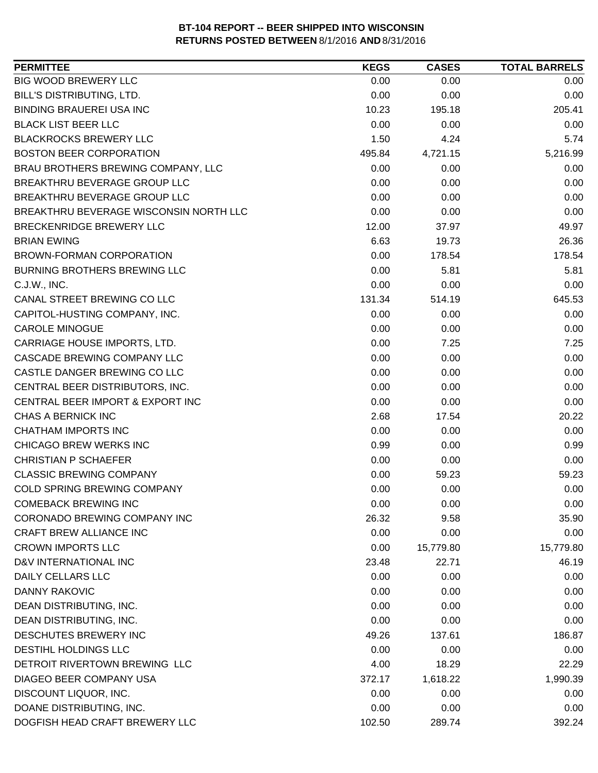| <b>PERMITTEE</b>                       | <b>KEGS</b> | <b>CASES</b> | <b>TOTAL BARRELS</b> |
|----------------------------------------|-------------|--------------|----------------------|
| <b>BIG WOOD BREWERY LLC</b>            | 0.00        | 0.00         | 0.00                 |
| BILL'S DISTRIBUTING, LTD.              | 0.00        | 0.00         | 0.00                 |
| <b>BINDING BRAUEREI USA INC</b>        | 10.23       | 195.18       | 205.41               |
| <b>BLACK LIST BEER LLC</b>             | 0.00        | 0.00         | 0.00                 |
| <b>BLACKROCKS BREWERY LLC</b>          | 1.50        | 4.24         | 5.74                 |
| <b>BOSTON BEER CORPORATION</b>         | 495.84      | 4,721.15     | 5,216.99             |
| BRAU BROTHERS BREWING COMPANY, LLC     | 0.00        | 0.00         | 0.00                 |
| BREAKTHRU BEVERAGE GROUP LLC           | 0.00        | 0.00         | 0.00                 |
| BREAKTHRU BEVERAGE GROUP LLC           | 0.00        | 0.00         | 0.00                 |
| BREAKTHRU BEVERAGE WISCONSIN NORTH LLC | 0.00        | 0.00         | 0.00                 |
| BRECKENRIDGE BREWERY LLC               | 12.00       | 37.97        | 49.97                |
| <b>BRIAN EWING</b>                     | 6.63        | 19.73        | 26.36                |
| BROWN-FORMAN CORPORATION               | 0.00        | 178.54       | 178.54               |
| <b>BURNING BROTHERS BREWING LLC</b>    | 0.00        | 5.81         | 5.81                 |
| C.J.W., INC.                           | 0.00        | 0.00         | 0.00                 |
| CANAL STREET BREWING CO LLC            | 131.34      | 514.19       | 645.53               |
| CAPITOL-HUSTING COMPANY, INC.          | 0.00        | 0.00         | 0.00                 |
| <b>CAROLE MINOGUE</b>                  | 0.00        | 0.00         | 0.00                 |
| CARRIAGE HOUSE IMPORTS, LTD.           | 0.00        | 7.25         | 7.25                 |
| CASCADE BREWING COMPANY LLC            | 0.00        | 0.00         | 0.00                 |
| CASTLE DANGER BREWING CO LLC           | 0.00        | 0.00         | 0.00                 |
| CENTRAL BEER DISTRIBUTORS, INC.        | 0.00        | 0.00         | 0.00                 |
| CENTRAL BEER IMPORT & EXPORT INC       | 0.00        | 0.00         | 0.00                 |
| CHAS A BERNICK INC                     | 2.68        | 17.54        | 20.22                |
| <b>CHATHAM IMPORTS INC</b>             | 0.00        | 0.00         | 0.00                 |
| CHICAGO BREW WERKS INC                 | 0.99        | 0.00         | 0.99                 |
| <b>CHRISTIAN P SCHAEFER</b>            | 0.00        | 0.00         | 0.00                 |
| <b>CLASSIC BREWING COMPANY</b>         | 0.00        | 59.23        | 59.23                |
| COLD SPRING BREWING COMPANY            | 0.00        | 0.00         | 0.00                 |
| <b>COMEBACK BREWING INC</b>            | 0.00        | 0.00         | 0.00                 |
| <b>CORONADO BREWING COMPANY INC</b>    | 26.32       | 9.58         | 35.90                |
| CRAFT BREW ALLIANCE INC                | 0.00        | 0.00         | 0.00                 |
| <b>CROWN IMPORTS LLC</b>               | 0.00        | 15,779.80    | 15,779.80            |
| D&V INTERNATIONAL INC                  | 23.48       | 22.71        | 46.19                |
| <b>DAILY CELLARS LLC</b>               | 0.00        | 0.00         | 0.00                 |
| <b>DANNY RAKOVIC</b>                   | 0.00        | 0.00         | 0.00                 |
| DEAN DISTRIBUTING, INC.                | 0.00        | 0.00         | 0.00                 |
| DEAN DISTRIBUTING, INC.                | 0.00        | 0.00         | 0.00                 |
| DESCHUTES BREWERY INC                  | 49.26       | 137.61       | 186.87               |
| <b>DESTIHL HOLDINGS LLC</b>            | 0.00        | 0.00         | 0.00                 |
| DETROIT RIVERTOWN BREWING LLC          | 4.00        | 18.29        | 22.29                |
| DIAGEO BEER COMPANY USA                | 372.17      | 1,618.22     | 1,990.39             |
| DISCOUNT LIQUOR, INC.                  | 0.00        | 0.00         | 0.00                 |
| DOANE DISTRIBUTING, INC.               | 0.00        | 0.00         | 0.00                 |
| DOGFISH HEAD CRAFT BREWERY LLC         | 102.50      | 289.74       | 392.24               |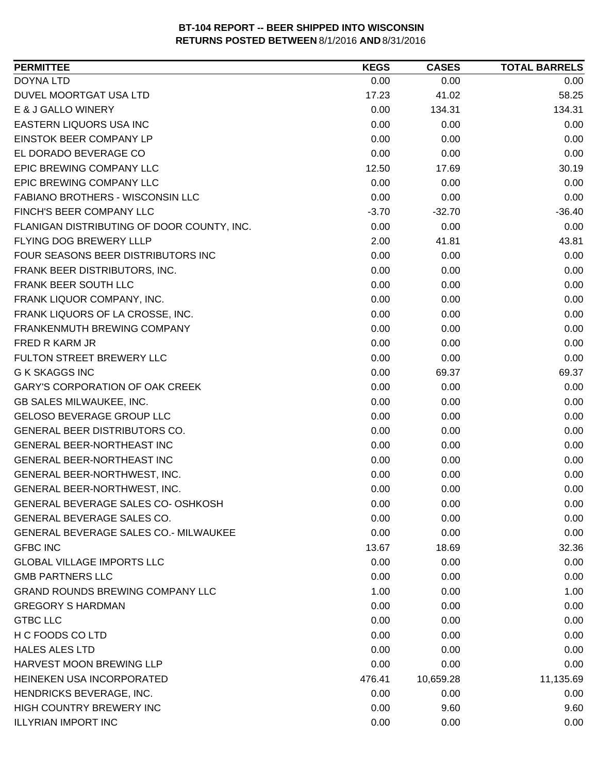| <b>PERMITTEE</b>                             | <b>KEGS</b> | <b>CASES</b> | <b>TOTAL BARRELS</b> |
|----------------------------------------------|-------------|--------------|----------------------|
| <b>DOYNA LTD</b>                             | 0.00        | 0.00         | 0.00                 |
| DUVEL MOORTGAT USA LTD                       | 17.23       | 41.02        | 58.25                |
| E & J GALLO WINERY                           | 0.00        | 134.31       | 134.31               |
| EASTERN LIQUORS USA INC                      | 0.00        | 0.00         | 0.00                 |
| EINSTOK BEER COMPANY LP                      | 0.00        | 0.00         | 0.00                 |
| EL DORADO BEVERAGE CO                        | 0.00        | 0.00         | 0.00                 |
| EPIC BREWING COMPANY LLC                     | 12.50       | 17.69        | 30.19                |
| EPIC BREWING COMPANY LLC                     | 0.00        | 0.00         | 0.00                 |
| FABIANO BROTHERS - WISCONSIN LLC             | 0.00        | 0.00         | 0.00                 |
| FINCH'S BEER COMPANY LLC                     | $-3.70$     | $-32.70$     | $-36.40$             |
| FLANIGAN DISTRIBUTING OF DOOR COUNTY, INC.   | 0.00        | 0.00         | 0.00                 |
| FLYING DOG BREWERY LLLP                      | 2.00        | 41.81        | 43.81                |
| FOUR SEASONS BEER DISTRIBUTORS INC           | 0.00        | 0.00         | 0.00                 |
| FRANK BEER DISTRIBUTORS, INC.                | 0.00        | 0.00         | 0.00                 |
| FRANK BEER SOUTH LLC                         | 0.00        | 0.00         | 0.00                 |
| FRANK LIQUOR COMPANY, INC.                   | 0.00        | 0.00         | 0.00                 |
| FRANK LIQUORS OF LA CROSSE, INC.             | 0.00        | 0.00         | 0.00                 |
| FRANKENMUTH BREWING COMPANY                  | 0.00        | 0.00         | 0.00                 |
| FRED R KARM JR                               | 0.00        | 0.00         | 0.00                 |
| FULTON STREET BREWERY LLC                    | 0.00        | 0.00         | 0.00                 |
| <b>G K SKAGGS INC</b>                        | 0.00        | 69.37        | 69.37                |
| <b>GARY'S CORPORATION OF OAK CREEK</b>       | 0.00        | 0.00         | 0.00                 |
| <b>GB SALES MILWAUKEE, INC.</b>              | 0.00        | 0.00         | 0.00                 |
| <b>GELOSO BEVERAGE GROUP LLC</b>             | 0.00        | 0.00         | 0.00                 |
| GENERAL BEER DISTRIBUTORS CO.                | 0.00        | 0.00         | 0.00                 |
| GENERAL BEER-NORTHEAST INC                   | 0.00        | 0.00         | 0.00                 |
| GENERAL BEER-NORTHEAST INC                   | 0.00        | 0.00         | 0.00                 |
| GENERAL BEER-NORTHWEST, INC.                 | 0.00        | 0.00         | 0.00                 |
| <b>GENERAL BEER-NORTHWEST, INC.</b>          | 0.00        | 0.00         | 0.00                 |
| <b>GENERAL BEVERAGE SALES CO- OSHKOSH</b>    | 0.00        | 0.00         | 0.00                 |
| GENERAL BEVERAGE SALES CO.                   | 0.00        | 0.00         | 0.00                 |
| <b>GENERAL BEVERAGE SALES CO.- MILWAUKEE</b> | 0.00        | 0.00         | 0.00                 |
| <b>GFBC INC</b>                              | 13.67       | 18.69        | 32.36                |
| <b>GLOBAL VILLAGE IMPORTS LLC</b>            | 0.00        | 0.00         | 0.00                 |
| <b>GMB PARTNERS LLC</b>                      | 0.00        | 0.00         | 0.00                 |
| <b>GRAND ROUNDS BREWING COMPANY LLC</b>      | 1.00        | 0.00         | 1.00                 |
| <b>GREGORY S HARDMAN</b>                     | 0.00        | 0.00         | 0.00                 |
| <b>GTBC LLC</b>                              | 0.00        | 0.00         | 0.00                 |
| H C FOODS CO LTD                             | 0.00        | 0.00         | 0.00                 |
| <b>HALES ALES LTD</b>                        | 0.00        | 0.00         | 0.00                 |
| HARVEST MOON BREWING LLP                     | 0.00        | 0.00         | 0.00                 |
| HEINEKEN USA INCORPORATED                    | 476.41      | 10,659.28    | 11,135.69            |
| HENDRICKS BEVERAGE, INC.                     | 0.00        | 0.00         | 0.00                 |
| HIGH COUNTRY BREWERY INC                     | 0.00        | 9.60         | 9.60                 |
| <b>ILLYRIAN IMPORT INC</b>                   | 0.00        | 0.00         | 0.00                 |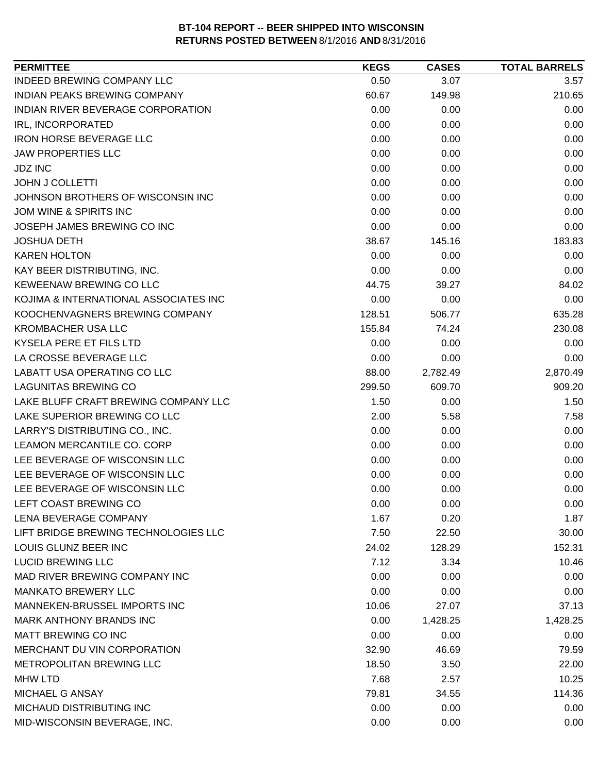| <b>PERMITTEE</b>                      | <b>KEGS</b> | <b>CASES</b> | <b>TOTAL BARRELS</b> |
|---------------------------------------|-------------|--------------|----------------------|
| <b>INDEED BREWING COMPANY LLC</b>     | 0.50        | 3.07         | 3.57                 |
| <b>INDIAN PEAKS BREWING COMPANY</b>   | 60.67       | 149.98       | 210.65               |
| INDIAN RIVER BEVERAGE CORPORATION     | 0.00        | 0.00         | 0.00                 |
| IRL, INCORPORATED                     | 0.00        | 0.00         | 0.00                 |
| <b>IRON HORSE BEVERAGE LLC</b>        | 0.00        | 0.00         | 0.00                 |
| <b>JAW PROPERTIES LLC</b>             | 0.00        | 0.00         | 0.00                 |
| <b>JDZ INC</b>                        | 0.00        | 0.00         | 0.00                 |
| <b>JOHN J COLLETTI</b>                | 0.00        | 0.00         | 0.00                 |
| JOHNSON BROTHERS OF WISCONSIN INC     | 0.00        | 0.00         | 0.00                 |
| JOM WINE & SPIRITS INC                | 0.00        | 0.00         | 0.00                 |
| JOSEPH JAMES BREWING CO INC           | 0.00        | 0.00         | 0.00                 |
| <b>JOSHUA DETH</b>                    | 38.67       | 145.16       | 183.83               |
| <b>KAREN HOLTON</b>                   | 0.00        | 0.00         | 0.00                 |
| KAY BEER DISTRIBUTING, INC.           | 0.00        | 0.00         | 0.00                 |
| KEWEENAW BREWING CO LLC               | 44.75       | 39.27        | 84.02                |
| KOJIMA & INTERNATIONAL ASSOCIATES INC | 0.00        | 0.00         | 0.00                 |
| KOOCHENVAGNERS BREWING COMPANY        | 128.51      | 506.77       | 635.28               |
| <b>KROMBACHER USA LLC</b>             | 155.84      | 74.24        | 230.08               |
| KYSELA PERE ET FILS LTD               | 0.00        | 0.00         | 0.00                 |
| LA CROSSE BEVERAGE LLC                | 0.00        | 0.00         | 0.00                 |
| LABATT USA OPERATING CO LLC           | 88.00       | 2,782.49     | 2,870.49             |
| <b>LAGUNITAS BREWING CO</b>           | 299.50      | 609.70       | 909.20               |
| LAKE BLUFF CRAFT BREWING COMPANY LLC  | 1.50        | 0.00         | 1.50                 |
| LAKE SUPERIOR BREWING CO LLC          | 2.00        | 5.58         | 7.58                 |
| LARRY'S DISTRIBUTING CO., INC.        | 0.00        | 0.00         | 0.00                 |
| LEAMON MERCANTILE CO. CORP            | 0.00        | 0.00         | 0.00                 |
| LEE BEVERAGE OF WISCONSIN LLC         | 0.00        | 0.00         | 0.00                 |
| LEE BEVERAGE OF WISCONSIN LLC         | 0.00        | 0.00         | 0.00                 |
| LEE BEVERAGE OF WISCONSIN LLC         | 0.00        | 0.00         | 0.00                 |
| LEFT COAST BREWING CO                 | 0.00        | 0.00         | 0.00                 |
| <b>LENA BEVERAGE COMPANY</b>          | 1.67        | 0.20         | 1.87                 |
| LIFT BRIDGE BREWING TECHNOLOGIES LLC  | 7.50        | 22.50        | 30.00                |
| LOUIS GLUNZ BEER INC                  | 24.02       | 128.29       | 152.31               |
| <b>LUCID BREWING LLC</b>              | 7.12        | 3.34         | 10.46                |
| MAD RIVER BREWING COMPANY INC         | 0.00        | 0.00         | 0.00                 |
| <b>MANKATO BREWERY LLC</b>            | 0.00        | 0.00         | 0.00                 |
| MANNEKEN-BRUSSEL IMPORTS INC          | 10.06       | 27.07        | 37.13                |
| <b>MARK ANTHONY BRANDS INC</b>        | 0.00        | 1,428.25     | 1,428.25             |
| MATT BREWING CO INC                   | 0.00        | 0.00         | 0.00                 |
| MERCHANT DU VIN CORPORATION           | 32.90       | 46.69        | 79.59                |
| METROPOLITAN BREWING LLC              | 18.50       | 3.50         | 22.00                |
| <b>MHW LTD</b>                        | 7.68        | 2.57         | 10.25                |
| MICHAEL G ANSAY                       | 79.81       | 34.55        | 114.36               |
| MICHAUD DISTRIBUTING INC              | 0.00        | 0.00         | 0.00                 |
| MID-WISCONSIN BEVERAGE, INC.          | 0.00        | 0.00         | 0.00                 |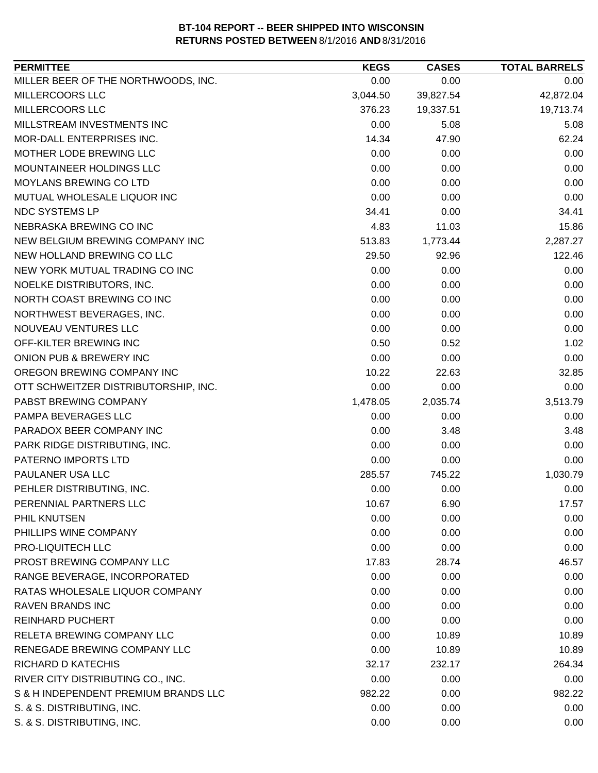| <b>PERMITTEE</b>                     | <b>KEGS</b> | <b>CASES</b> | <b>TOTAL BARRELS</b> |
|--------------------------------------|-------------|--------------|----------------------|
| MILLER BEER OF THE NORTHWOODS, INC.  | 0.00        | 0.00         | 0.00                 |
| MILLERCOORS LLC                      | 3,044.50    | 39,827.54    | 42,872.04            |
| MILLERCOORS LLC                      | 376.23      | 19,337.51    | 19,713.74            |
| MILLSTREAM INVESTMENTS INC           | 0.00        | 5.08         | 5.08                 |
| MOR-DALL ENTERPRISES INC.            | 14.34       | 47.90        | 62.24                |
| MOTHER LODE BREWING LLC              | 0.00        | 0.00         | 0.00                 |
| MOUNTAINEER HOLDINGS LLC             | 0.00        | 0.00         | 0.00                 |
| MOYLANS BREWING CO LTD               | 0.00        | 0.00         | 0.00                 |
| MUTUAL WHOLESALE LIQUOR INC          | 0.00        | 0.00         | 0.00                 |
| NDC SYSTEMS LP                       | 34.41       | 0.00         | 34.41                |
| NEBRASKA BREWING CO INC              | 4.83        | 11.03        | 15.86                |
| NEW BELGIUM BREWING COMPANY INC      | 513.83      | 1,773.44     | 2,287.27             |
| NEW HOLLAND BREWING CO LLC           | 29.50       | 92.96        | 122.46               |
| NEW YORK MUTUAL TRADING CO INC       | 0.00        | 0.00         | 0.00                 |
| NOELKE DISTRIBUTORS, INC.            | 0.00        | 0.00         | 0.00                 |
| NORTH COAST BREWING CO INC           | 0.00        | 0.00         | 0.00                 |
| NORTHWEST BEVERAGES, INC.            | 0.00        | 0.00         | 0.00                 |
| NOUVEAU VENTURES LLC                 | 0.00        | 0.00         | 0.00                 |
| OFF-KILTER BREWING INC               | 0.50        | 0.52         | 1.02                 |
| ONION PUB & BREWERY INC              | 0.00        | 0.00         | 0.00                 |
| OREGON BREWING COMPANY INC           | 10.22       | 22.63        | 32.85                |
| OTT SCHWEITZER DISTRIBUTORSHIP, INC. | 0.00        | 0.00         | 0.00                 |
| PABST BREWING COMPANY                | 1,478.05    | 2,035.74     | 3,513.79             |
| PAMPA BEVERAGES LLC                  | 0.00        | 0.00         | 0.00                 |
| PARADOX BEER COMPANY INC             | 0.00        | 3.48         | 3.48                 |
| PARK RIDGE DISTRIBUTING, INC.        | 0.00        | 0.00         | 0.00                 |
| PATERNO IMPORTS LTD                  | 0.00        | 0.00         | 0.00                 |
| PAULANER USA LLC                     | 285.57      | 745.22       | 1,030.79             |
| PEHLER DISTRIBUTING, INC.            | 0.00        | 0.00         | 0.00                 |
| PERENNIAL PARTNERS LLC               | 10.67       | 6.90         | 17.57                |
| PHIL KNUTSEN                         | 0.00        | 0.00         | 0.00                 |
| PHILLIPS WINE COMPANY                | 0.00        | 0.00         | 0.00                 |
| PRO-LIQUITECH LLC                    | 0.00        | 0.00         | 0.00                 |
| PROST BREWING COMPANY LLC            | 17.83       | 28.74        | 46.57                |
| RANGE BEVERAGE, INCORPORATED         | 0.00        | 0.00         | 0.00                 |
| RATAS WHOLESALE LIQUOR COMPANY       | 0.00        | 0.00         | 0.00                 |
| <b>RAVEN BRANDS INC</b>              | 0.00        | 0.00         | 0.00                 |
| <b>REINHARD PUCHERT</b>              | 0.00        | 0.00         | 0.00                 |
| RELETA BREWING COMPANY LLC           | 0.00        | 10.89        | 10.89                |
| RENEGADE BREWING COMPANY LLC         | 0.00        | 10.89        | 10.89                |
| <b>RICHARD D KATECHIS</b>            | 32.17       | 232.17       | 264.34               |
| RIVER CITY DISTRIBUTING CO., INC.    | 0.00        | 0.00         | 0.00                 |
| S & H INDEPENDENT PREMIUM BRANDS LLC | 982.22      | 0.00         | 982.22               |
| S. & S. DISTRIBUTING, INC.           | 0.00        | 0.00         | 0.00                 |
| S. & S. DISTRIBUTING, INC.           | 0.00        | 0.00         | 0.00                 |
|                                      |             |              |                      |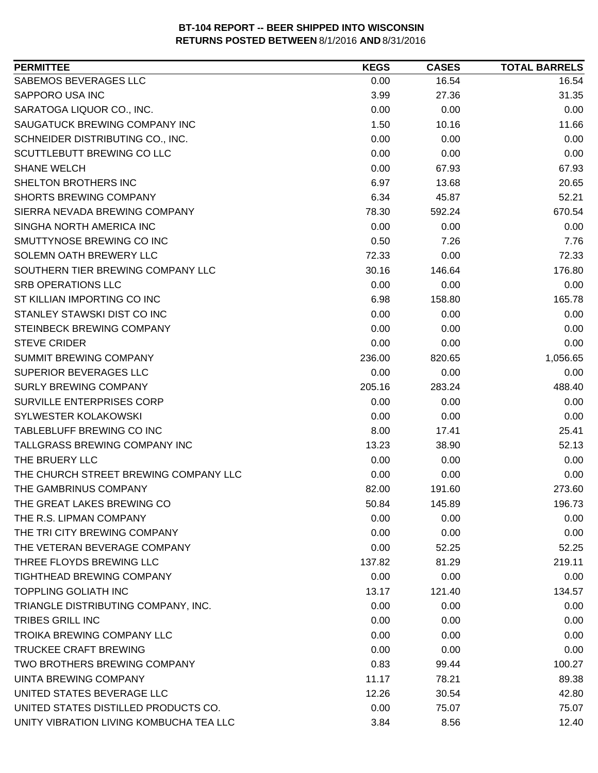| SABEMOS BEVERAGES LLC<br>0.00<br>16.54<br>16.54<br><b>SAPPORO USA INC</b><br>3.99<br>31.35<br>27.36<br>SARATOGA LIQUOR CO., INC.<br>0.00<br>0.00<br>0.00<br>1.50<br>SAUGATUCK BREWING COMPANY INC<br>10.16<br>11.66<br>0.00<br>0.00<br>SCHNEIDER DISTRIBUTING CO., INC.<br>0.00<br>SCUTTLEBUTT BREWING CO LLC<br>0.00<br>0.00<br>0.00<br><b>SHANE WELCH</b><br>0.00<br>67.93<br>67.93<br>SHELTON BROTHERS INC<br>6.97<br>20.65<br>13.68<br>52.21<br><b>SHORTS BREWING COMPANY</b><br>6.34<br>45.87<br>SIERRA NEVADA BREWING COMPANY<br>670.54<br>78.30<br>592.24<br>SINGHA NORTH AMERICA INC<br>0.00<br>0.00<br>0.00<br>SMUTTYNOSE BREWING CO INC<br>0.50<br>7.26<br>7.76<br>SOLEMN OATH BREWERY LLC<br>72.33<br>0.00<br>72.33<br>SOUTHERN TIER BREWING COMPANY LLC<br>30.16<br>146.64<br>176.80<br><b>SRB OPERATIONS LLC</b><br>0.00<br>0.00<br>0.00<br>ST KILLIAN IMPORTING CO INC<br>165.78<br>6.98<br>158.80<br>STANLEY STAWSKI DIST CO INC<br>0.00<br>0.00<br>0.00<br>STEINBECK BREWING COMPANY<br>0.00<br>0.00<br>0.00<br><b>STEVE CRIDER</b><br>0.00<br>0.00<br>0.00<br>1,056.65<br><b>SUMMIT BREWING COMPANY</b><br>236.00<br>820.65<br>SUPERIOR BEVERAGES LLC<br>0.00<br>0.00<br>0.00<br><b>SURLY BREWING COMPANY</b><br>488.40<br>205.16<br>283.24<br>SURVILLE ENTERPRISES CORP<br>0.00<br>0.00<br>0.00<br>SYLWESTER KOLAKOWSKI<br>0.00<br>0.00<br>0.00<br>TABLEBLUFF BREWING CO INC<br>8.00<br>17.41<br>25.41<br>TALLGRASS BREWING COMPANY INC<br>13.23<br>52.13<br>38.90<br>THE BRUERY LLC<br>0.00<br>0.00<br>0.00<br>THE CHURCH STREET BREWING COMPANY LLC<br>0.00<br>0.00<br>0.00<br>THE GAMBRINUS COMPANY<br>82.00<br>191.60<br>273.60<br>THE GREAT LAKES BREWING CO<br>145.89<br>50.84<br>196.73<br>0.00<br>0.00<br>0.00<br>THE TRI CITY BREWING COMPANY<br>0.00<br>0.00<br>0.00<br>0.00<br>52.25<br>52.25<br>219.11<br>137.82<br>81.29<br>0.00<br>0.00<br>0.00<br><b>TOPPLING GOLIATH INC</b><br>121.40<br>134.57<br>13.17<br>TRIANGLE DISTRIBUTING COMPANY, INC.<br>0.00<br>0.00<br>0.00<br><b>TRIBES GRILL INC</b><br>0.00<br>0.00<br>0.00<br>0.00<br>0.00<br>0.00<br>0.00<br>0.00<br>0.00<br>TWO BROTHERS BREWING COMPANY<br>0.83<br>100.27<br>99.44<br>UINTA BREWING COMPANY<br>89.38<br>11.17<br>78.21<br>12.26<br>42.80<br>30.54<br>0.00<br>75.07<br>75.07<br>UNITY VIBRATION LIVING KOMBUCHA TEA LLC | <b>PERMITTEE</b>                     | <b>KEGS</b> | <b>CASES</b> | <b>TOTAL BARRELS</b> |
|------------------------------------------------------------------------------------------------------------------------------------------------------------------------------------------------------------------------------------------------------------------------------------------------------------------------------------------------------------------------------------------------------------------------------------------------------------------------------------------------------------------------------------------------------------------------------------------------------------------------------------------------------------------------------------------------------------------------------------------------------------------------------------------------------------------------------------------------------------------------------------------------------------------------------------------------------------------------------------------------------------------------------------------------------------------------------------------------------------------------------------------------------------------------------------------------------------------------------------------------------------------------------------------------------------------------------------------------------------------------------------------------------------------------------------------------------------------------------------------------------------------------------------------------------------------------------------------------------------------------------------------------------------------------------------------------------------------------------------------------------------------------------------------------------------------------------------------------------------------------------------------------------------------------------------------------------------------------------------------------------------------------------------------------------------------------------------------------------------------------------------------------------------------------------------------------------------------------------------------------------------------------------------------------------------------------------|--------------------------------------|-------------|--------------|----------------------|
|                                                                                                                                                                                                                                                                                                                                                                                                                                                                                                                                                                                                                                                                                                                                                                                                                                                                                                                                                                                                                                                                                                                                                                                                                                                                                                                                                                                                                                                                                                                                                                                                                                                                                                                                                                                                                                                                                                                                                                                                                                                                                                                                                                                                                                                                                                                              |                                      |             |              |                      |
|                                                                                                                                                                                                                                                                                                                                                                                                                                                                                                                                                                                                                                                                                                                                                                                                                                                                                                                                                                                                                                                                                                                                                                                                                                                                                                                                                                                                                                                                                                                                                                                                                                                                                                                                                                                                                                                                                                                                                                                                                                                                                                                                                                                                                                                                                                                              |                                      |             |              |                      |
|                                                                                                                                                                                                                                                                                                                                                                                                                                                                                                                                                                                                                                                                                                                                                                                                                                                                                                                                                                                                                                                                                                                                                                                                                                                                                                                                                                                                                                                                                                                                                                                                                                                                                                                                                                                                                                                                                                                                                                                                                                                                                                                                                                                                                                                                                                                              |                                      |             |              |                      |
|                                                                                                                                                                                                                                                                                                                                                                                                                                                                                                                                                                                                                                                                                                                                                                                                                                                                                                                                                                                                                                                                                                                                                                                                                                                                                                                                                                                                                                                                                                                                                                                                                                                                                                                                                                                                                                                                                                                                                                                                                                                                                                                                                                                                                                                                                                                              |                                      |             |              |                      |
|                                                                                                                                                                                                                                                                                                                                                                                                                                                                                                                                                                                                                                                                                                                                                                                                                                                                                                                                                                                                                                                                                                                                                                                                                                                                                                                                                                                                                                                                                                                                                                                                                                                                                                                                                                                                                                                                                                                                                                                                                                                                                                                                                                                                                                                                                                                              |                                      |             |              |                      |
|                                                                                                                                                                                                                                                                                                                                                                                                                                                                                                                                                                                                                                                                                                                                                                                                                                                                                                                                                                                                                                                                                                                                                                                                                                                                                                                                                                                                                                                                                                                                                                                                                                                                                                                                                                                                                                                                                                                                                                                                                                                                                                                                                                                                                                                                                                                              |                                      |             |              |                      |
|                                                                                                                                                                                                                                                                                                                                                                                                                                                                                                                                                                                                                                                                                                                                                                                                                                                                                                                                                                                                                                                                                                                                                                                                                                                                                                                                                                                                                                                                                                                                                                                                                                                                                                                                                                                                                                                                                                                                                                                                                                                                                                                                                                                                                                                                                                                              |                                      |             |              |                      |
|                                                                                                                                                                                                                                                                                                                                                                                                                                                                                                                                                                                                                                                                                                                                                                                                                                                                                                                                                                                                                                                                                                                                                                                                                                                                                                                                                                                                                                                                                                                                                                                                                                                                                                                                                                                                                                                                                                                                                                                                                                                                                                                                                                                                                                                                                                                              |                                      |             |              |                      |
|                                                                                                                                                                                                                                                                                                                                                                                                                                                                                                                                                                                                                                                                                                                                                                                                                                                                                                                                                                                                                                                                                                                                                                                                                                                                                                                                                                                                                                                                                                                                                                                                                                                                                                                                                                                                                                                                                                                                                                                                                                                                                                                                                                                                                                                                                                                              |                                      |             |              |                      |
|                                                                                                                                                                                                                                                                                                                                                                                                                                                                                                                                                                                                                                                                                                                                                                                                                                                                                                                                                                                                                                                                                                                                                                                                                                                                                                                                                                                                                                                                                                                                                                                                                                                                                                                                                                                                                                                                                                                                                                                                                                                                                                                                                                                                                                                                                                                              |                                      |             |              |                      |
|                                                                                                                                                                                                                                                                                                                                                                                                                                                                                                                                                                                                                                                                                                                                                                                                                                                                                                                                                                                                                                                                                                                                                                                                                                                                                                                                                                                                                                                                                                                                                                                                                                                                                                                                                                                                                                                                                                                                                                                                                                                                                                                                                                                                                                                                                                                              |                                      |             |              |                      |
|                                                                                                                                                                                                                                                                                                                                                                                                                                                                                                                                                                                                                                                                                                                                                                                                                                                                                                                                                                                                                                                                                                                                                                                                                                                                                                                                                                                                                                                                                                                                                                                                                                                                                                                                                                                                                                                                                                                                                                                                                                                                                                                                                                                                                                                                                                                              |                                      |             |              |                      |
|                                                                                                                                                                                                                                                                                                                                                                                                                                                                                                                                                                                                                                                                                                                                                                                                                                                                                                                                                                                                                                                                                                                                                                                                                                                                                                                                                                                                                                                                                                                                                                                                                                                                                                                                                                                                                                                                                                                                                                                                                                                                                                                                                                                                                                                                                                                              |                                      |             |              |                      |
|                                                                                                                                                                                                                                                                                                                                                                                                                                                                                                                                                                                                                                                                                                                                                                                                                                                                                                                                                                                                                                                                                                                                                                                                                                                                                                                                                                                                                                                                                                                                                                                                                                                                                                                                                                                                                                                                                                                                                                                                                                                                                                                                                                                                                                                                                                                              |                                      |             |              |                      |
|                                                                                                                                                                                                                                                                                                                                                                                                                                                                                                                                                                                                                                                                                                                                                                                                                                                                                                                                                                                                                                                                                                                                                                                                                                                                                                                                                                                                                                                                                                                                                                                                                                                                                                                                                                                                                                                                                                                                                                                                                                                                                                                                                                                                                                                                                                                              |                                      |             |              |                      |
|                                                                                                                                                                                                                                                                                                                                                                                                                                                                                                                                                                                                                                                                                                                                                                                                                                                                                                                                                                                                                                                                                                                                                                                                                                                                                                                                                                                                                                                                                                                                                                                                                                                                                                                                                                                                                                                                                                                                                                                                                                                                                                                                                                                                                                                                                                                              |                                      |             |              |                      |
|                                                                                                                                                                                                                                                                                                                                                                                                                                                                                                                                                                                                                                                                                                                                                                                                                                                                                                                                                                                                                                                                                                                                                                                                                                                                                                                                                                                                                                                                                                                                                                                                                                                                                                                                                                                                                                                                                                                                                                                                                                                                                                                                                                                                                                                                                                                              |                                      |             |              |                      |
|                                                                                                                                                                                                                                                                                                                                                                                                                                                                                                                                                                                                                                                                                                                                                                                                                                                                                                                                                                                                                                                                                                                                                                                                                                                                                                                                                                                                                                                                                                                                                                                                                                                                                                                                                                                                                                                                                                                                                                                                                                                                                                                                                                                                                                                                                                                              |                                      |             |              |                      |
|                                                                                                                                                                                                                                                                                                                                                                                                                                                                                                                                                                                                                                                                                                                                                                                                                                                                                                                                                                                                                                                                                                                                                                                                                                                                                                                                                                                                                                                                                                                                                                                                                                                                                                                                                                                                                                                                                                                                                                                                                                                                                                                                                                                                                                                                                                                              |                                      |             |              |                      |
|                                                                                                                                                                                                                                                                                                                                                                                                                                                                                                                                                                                                                                                                                                                                                                                                                                                                                                                                                                                                                                                                                                                                                                                                                                                                                                                                                                                                                                                                                                                                                                                                                                                                                                                                                                                                                                                                                                                                                                                                                                                                                                                                                                                                                                                                                                                              |                                      |             |              |                      |
|                                                                                                                                                                                                                                                                                                                                                                                                                                                                                                                                                                                                                                                                                                                                                                                                                                                                                                                                                                                                                                                                                                                                                                                                                                                                                                                                                                                                                                                                                                                                                                                                                                                                                                                                                                                                                                                                                                                                                                                                                                                                                                                                                                                                                                                                                                                              |                                      |             |              |                      |
|                                                                                                                                                                                                                                                                                                                                                                                                                                                                                                                                                                                                                                                                                                                                                                                                                                                                                                                                                                                                                                                                                                                                                                                                                                                                                                                                                                                                                                                                                                                                                                                                                                                                                                                                                                                                                                                                                                                                                                                                                                                                                                                                                                                                                                                                                                                              |                                      |             |              |                      |
|                                                                                                                                                                                                                                                                                                                                                                                                                                                                                                                                                                                                                                                                                                                                                                                                                                                                                                                                                                                                                                                                                                                                                                                                                                                                                                                                                                                                                                                                                                                                                                                                                                                                                                                                                                                                                                                                                                                                                                                                                                                                                                                                                                                                                                                                                                                              |                                      |             |              |                      |
|                                                                                                                                                                                                                                                                                                                                                                                                                                                                                                                                                                                                                                                                                                                                                                                                                                                                                                                                                                                                                                                                                                                                                                                                                                                                                                                                                                                                                                                                                                                                                                                                                                                                                                                                                                                                                                                                                                                                                                                                                                                                                                                                                                                                                                                                                                                              |                                      |             |              |                      |
|                                                                                                                                                                                                                                                                                                                                                                                                                                                                                                                                                                                                                                                                                                                                                                                                                                                                                                                                                                                                                                                                                                                                                                                                                                                                                                                                                                                                                                                                                                                                                                                                                                                                                                                                                                                                                                                                                                                                                                                                                                                                                                                                                                                                                                                                                                                              |                                      |             |              |                      |
|                                                                                                                                                                                                                                                                                                                                                                                                                                                                                                                                                                                                                                                                                                                                                                                                                                                                                                                                                                                                                                                                                                                                                                                                                                                                                                                                                                                                                                                                                                                                                                                                                                                                                                                                                                                                                                                                                                                                                                                                                                                                                                                                                                                                                                                                                                                              |                                      |             |              |                      |
|                                                                                                                                                                                                                                                                                                                                                                                                                                                                                                                                                                                                                                                                                                                                                                                                                                                                                                                                                                                                                                                                                                                                                                                                                                                                                                                                                                                                                                                                                                                                                                                                                                                                                                                                                                                                                                                                                                                                                                                                                                                                                                                                                                                                                                                                                                                              |                                      |             |              |                      |
|                                                                                                                                                                                                                                                                                                                                                                                                                                                                                                                                                                                                                                                                                                                                                                                                                                                                                                                                                                                                                                                                                                                                                                                                                                                                                                                                                                                                                                                                                                                                                                                                                                                                                                                                                                                                                                                                                                                                                                                                                                                                                                                                                                                                                                                                                                                              |                                      |             |              |                      |
|                                                                                                                                                                                                                                                                                                                                                                                                                                                                                                                                                                                                                                                                                                                                                                                                                                                                                                                                                                                                                                                                                                                                                                                                                                                                                                                                                                                                                                                                                                                                                                                                                                                                                                                                                                                                                                                                                                                                                                                                                                                                                                                                                                                                                                                                                                                              |                                      |             |              |                      |
|                                                                                                                                                                                                                                                                                                                                                                                                                                                                                                                                                                                                                                                                                                                                                                                                                                                                                                                                                                                                                                                                                                                                                                                                                                                                                                                                                                                                                                                                                                                                                                                                                                                                                                                                                                                                                                                                                                                                                                                                                                                                                                                                                                                                                                                                                                                              |                                      |             |              |                      |
|                                                                                                                                                                                                                                                                                                                                                                                                                                                                                                                                                                                                                                                                                                                                                                                                                                                                                                                                                                                                                                                                                                                                                                                                                                                                                                                                                                                                                                                                                                                                                                                                                                                                                                                                                                                                                                                                                                                                                                                                                                                                                                                                                                                                                                                                                                                              | THE R.S. LIPMAN COMPANY              |             |              |                      |
|                                                                                                                                                                                                                                                                                                                                                                                                                                                                                                                                                                                                                                                                                                                                                                                                                                                                                                                                                                                                                                                                                                                                                                                                                                                                                                                                                                                                                                                                                                                                                                                                                                                                                                                                                                                                                                                                                                                                                                                                                                                                                                                                                                                                                                                                                                                              |                                      |             |              |                      |
|                                                                                                                                                                                                                                                                                                                                                                                                                                                                                                                                                                                                                                                                                                                                                                                                                                                                                                                                                                                                                                                                                                                                                                                                                                                                                                                                                                                                                                                                                                                                                                                                                                                                                                                                                                                                                                                                                                                                                                                                                                                                                                                                                                                                                                                                                                                              | THE VETERAN BEVERAGE COMPANY         |             |              |                      |
|                                                                                                                                                                                                                                                                                                                                                                                                                                                                                                                                                                                                                                                                                                                                                                                                                                                                                                                                                                                                                                                                                                                                                                                                                                                                                                                                                                                                                                                                                                                                                                                                                                                                                                                                                                                                                                                                                                                                                                                                                                                                                                                                                                                                                                                                                                                              | THREE FLOYDS BREWING LLC             |             |              |                      |
|                                                                                                                                                                                                                                                                                                                                                                                                                                                                                                                                                                                                                                                                                                                                                                                                                                                                                                                                                                                                                                                                                                                                                                                                                                                                                                                                                                                                                                                                                                                                                                                                                                                                                                                                                                                                                                                                                                                                                                                                                                                                                                                                                                                                                                                                                                                              | <b>TIGHTHEAD BREWING COMPANY</b>     |             |              |                      |
|                                                                                                                                                                                                                                                                                                                                                                                                                                                                                                                                                                                                                                                                                                                                                                                                                                                                                                                                                                                                                                                                                                                                                                                                                                                                                                                                                                                                                                                                                                                                                                                                                                                                                                                                                                                                                                                                                                                                                                                                                                                                                                                                                                                                                                                                                                                              |                                      |             |              |                      |
|                                                                                                                                                                                                                                                                                                                                                                                                                                                                                                                                                                                                                                                                                                                                                                                                                                                                                                                                                                                                                                                                                                                                                                                                                                                                                                                                                                                                                                                                                                                                                                                                                                                                                                                                                                                                                                                                                                                                                                                                                                                                                                                                                                                                                                                                                                                              |                                      |             |              |                      |
|                                                                                                                                                                                                                                                                                                                                                                                                                                                                                                                                                                                                                                                                                                                                                                                                                                                                                                                                                                                                                                                                                                                                                                                                                                                                                                                                                                                                                                                                                                                                                                                                                                                                                                                                                                                                                                                                                                                                                                                                                                                                                                                                                                                                                                                                                                                              |                                      |             |              |                      |
|                                                                                                                                                                                                                                                                                                                                                                                                                                                                                                                                                                                                                                                                                                                                                                                                                                                                                                                                                                                                                                                                                                                                                                                                                                                                                                                                                                                                                                                                                                                                                                                                                                                                                                                                                                                                                                                                                                                                                                                                                                                                                                                                                                                                                                                                                                                              | <b>TROIKA BREWING COMPANY LLC</b>    |             |              |                      |
|                                                                                                                                                                                                                                                                                                                                                                                                                                                                                                                                                                                                                                                                                                                                                                                                                                                                                                                                                                                                                                                                                                                                                                                                                                                                                                                                                                                                                                                                                                                                                                                                                                                                                                                                                                                                                                                                                                                                                                                                                                                                                                                                                                                                                                                                                                                              | <b>TRUCKEE CRAFT BREWING</b>         |             |              |                      |
|                                                                                                                                                                                                                                                                                                                                                                                                                                                                                                                                                                                                                                                                                                                                                                                                                                                                                                                                                                                                                                                                                                                                                                                                                                                                                                                                                                                                                                                                                                                                                                                                                                                                                                                                                                                                                                                                                                                                                                                                                                                                                                                                                                                                                                                                                                                              |                                      |             |              |                      |
|                                                                                                                                                                                                                                                                                                                                                                                                                                                                                                                                                                                                                                                                                                                                                                                                                                                                                                                                                                                                                                                                                                                                                                                                                                                                                                                                                                                                                                                                                                                                                                                                                                                                                                                                                                                                                                                                                                                                                                                                                                                                                                                                                                                                                                                                                                                              |                                      |             |              |                      |
|                                                                                                                                                                                                                                                                                                                                                                                                                                                                                                                                                                                                                                                                                                                                                                                                                                                                                                                                                                                                                                                                                                                                                                                                                                                                                                                                                                                                                                                                                                                                                                                                                                                                                                                                                                                                                                                                                                                                                                                                                                                                                                                                                                                                                                                                                                                              | UNITED STATES BEVERAGE LLC           |             |              |                      |
|                                                                                                                                                                                                                                                                                                                                                                                                                                                                                                                                                                                                                                                                                                                                                                                                                                                                                                                                                                                                                                                                                                                                                                                                                                                                                                                                                                                                                                                                                                                                                                                                                                                                                                                                                                                                                                                                                                                                                                                                                                                                                                                                                                                                                                                                                                                              | UNITED STATES DISTILLED PRODUCTS CO. |             |              |                      |
|                                                                                                                                                                                                                                                                                                                                                                                                                                                                                                                                                                                                                                                                                                                                                                                                                                                                                                                                                                                                                                                                                                                                                                                                                                                                                                                                                                                                                                                                                                                                                                                                                                                                                                                                                                                                                                                                                                                                                                                                                                                                                                                                                                                                                                                                                                                              |                                      | 3.84        | 8.56         | 12.40                |